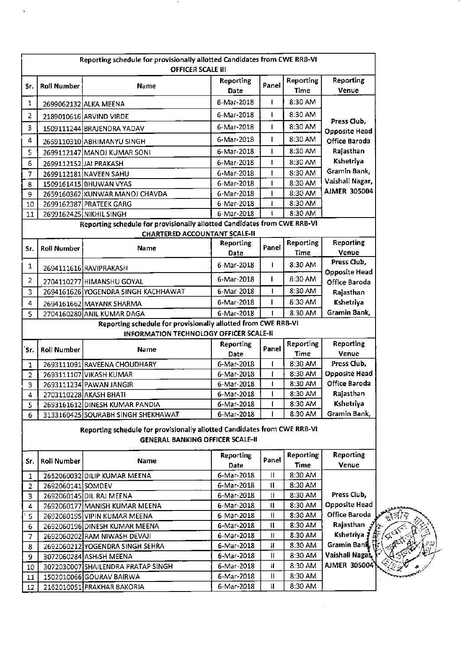|                |                    | Reporting schedule for provisionally allotted Candidates from CWE RRB-VI<br><b>OFFICER SCALE III</b>                |                   |                |                   |                                     |
|----------------|--------------------|---------------------------------------------------------------------------------------------------------------------|-------------------|----------------|-------------------|-------------------------------------|
| Sr.            | <b>Roll Number</b> | Name                                                                                                                | Reporting<br>Date | Panel          | Reporting<br>Time | Reporting<br>Venue                  |
| 1              |                    | 2699062132 ALKA MEENA                                                                                               | 6-Mar-2018        | $\overline{1}$ | 8:30 AM           |                                     |
| $\overline{2}$ |                    | 2189010616 ARVIND VIRDE                                                                                             | 6-Mar-2018        | L              | 8:30 AM           |                                     |
| 3              |                    | 1509111244 BRAJENDRA YADAV                                                                                          | 6-Mar-2018        | T              | 8:30 AM           | Press Club,                         |
|                |                    |                                                                                                                     | 6-Mar-2018        | $\mathsf{I}$   | 8:30 AM           | <b>Opposite Head</b>                |
| 4              |                    | 2659110310 ABHIMANYU SINGH                                                                                          |                   |                |                   | Office Baroda                       |
| 5              |                    | 2699112147 MANOJ KUMAR SONI                                                                                         | 6-Mar-2018        | $\overline{1}$ | 8:30 AM           | Rajasthan                           |
| 6              |                    | 2699112152 JAI PRAKASH                                                                                              | 6-Mar-2018        | T              | 8:30 AM           | Kshetriya<br>Gramin Bank,           |
| 7              |                    | 2699112181 NAVEEN SAHU                                                                                              | 6-Mar-2018        | T              | 8:30 AM           | Vaishali Nagar,                     |
| 8              |                    | 1509161415 BHUWAN VYAS                                                                                              | 6-Mar-2018        | ı              | 8:30 AM           | <b>AJMER 305004</b>                 |
| 9              |                    | 2659160362 KUNWAR MANOJ CHAVDA                                                                                      | 6-Mar-2018        | L              | 8:30 AM           |                                     |
| 10             |                    | 2699162387 PRATEEK GARG                                                                                             | 6-Mar-2018        | ł              | 8:30 AM           |                                     |
| 11             |                    | 2699162425 NIKHIL SINGH                                                                                             | 6-Mar-2018        | $\mathbf{I}$   | 8:30 AM           |                                     |
|                |                    | Reporting schedule for provisionally allotted Candidates from CWE RRB-VI<br><b>CHARTERED ACCOUNTANT SCALE-II</b>    |                   |                |                   |                                     |
|                |                    |                                                                                                                     | Reporting         | Panel          | Reporting         | <b>Reporting</b>                    |
| Sr.            | <b>Roll Number</b> | Name                                                                                                                | Date              |                | Time              | Venue                               |
| 1              |                    | 2694111616 RAVIPRAKASH                                                                                              | 6-Mar-2018        | L              | 8:30 AM           | Press Club,<br><b>Opposite Head</b> |
| 2              |                    | 2704110277 HIMANSHU GOYAL                                                                                           | 6-Mar-2018        | г              | 8:30 AM           | <b>Office Baroda</b>                |
| 3              |                    | 2694161626 YOGENDRA SINGH KACHHAWAT                                                                                 | 6-Mar-2018        | T              | 8:30 AM           | Rajasthan                           |
| 4              |                    | 2694161662 MAYANK SHARMA                                                                                            | 6-Mar-2018        | 1              | 8:30 AM           | Kshetriya                           |
| 5              |                    | 2704160280 ANIL KUMAR DAGA                                                                                          | 6-Mar-2018        |                | 8:30 AM           | Gramin Bank,                        |
|                |                    | Reporting schedule for provisionally allotted from CWE RRB-VI                                                       |                   |                |                   |                                     |
|                |                    | INFORMATION TECHNOLOGY OFFICER SCALE-II                                                                             |                   |                |                   |                                     |
|                |                    |                                                                                                                     | Reporting         |                | Reporting         | Reporting                           |
| Sr.            | <b>Roll Number</b> | Name                                                                                                                | Date              | Panel          | Time              | Venue                               |
| 1              |                    | 2693111091 RAVEENA CHOUDHARY                                                                                        | 6-Mar-2018        |                | 8:30 AM           | Press Club,                         |
| $\overline{2}$ |                    | 2693111107 VIKASH KUMAR                                                                                             | 6-Mar-2018        | I              | 8:30 AM           | <b>Opposite Head</b>                |
| з              |                    | 2693111234 PAWAN JANGIR                                                                                             | 6-Mar-2018        | ı              | 8:30 AM           | Office Baroda                       |
| 4              |                    | 2703110228 AKASH BHATI                                                                                              | 6-Mar-2018        | ı              | 8:30 AM           | Rajasthan                           |
| 5              |                    | 2693161612 DINESH KUMAR PANDIA                                                                                      | 6-Mar-2018        | I              | 8:30 AM           | Kshetriya                           |
| 6              |                    | 3133160425 SOURABH SINGH SHEKHAWAT                                                                                  | 6-Mar-2018        |                | 8:30 AM           | Gramin Bank,                        |
|                |                    | Reporting schedule for provisionally allotted Candidates from CWE RRB-VI<br><b>GENERAL BANKING OFFICER SCALE-II</b> |                   |                |                   |                                     |
| Sr.            | <b>Roll Number</b> | Name                                                                                                                | <b>Reporting</b>  | Panel          | <b>Reporting</b>  | <b>Reporting</b>                    |
|                |                    |                                                                                                                     | Date              |                | <b>Time</b>       | Venue                               |
| 1              |                    | 2652060032 DILIP KUMAR MEENA                                                                                        | 6-Mar-2018        | 11             | 8:30 AM           |                                     |
| $\overline{2}$ | 2692060141 SOMDEV  |                                                                                                                     | 6-Mar-2018        | Ш              | 8:30 AM           |                                     |
| 3              |                    | 2692060145 DIL RAJ MEENA                                                                                            | 6-Mar-2018        | $\mathbf{II}$  | 8:30 AM           | Press Club,                         |
| 4              |                    | 2692060177 MANISH KUMAR MEENA                                                                                       | 6-Mar-2018        | $\mathbf{u}$   | 8:30 AM           | <b>Opposite Head</b>                |
| 5              |                    | 2692060195 VIPIN KUMAR MEENA                                                                                        | 6-Mar-2018        | Ш              | 8:30 AM           | Office Baroda                       |
| 6              |                    | 2692060196 DINESH KUMAR MEENA                                                                                       | 6-Mar-2018        | 11             | 8:30 AM           | Rajasthan $\frac{y}{x}$             |
| 7              |                    | 2692060202 RAM NIWASH DEVAJI                                                                                        | 6-Mar-2018        | Ш              | 8:30 AM           | Kshetriya $\frac{3}{2}$             |
| 8              |                    | 2692060212 YOGENDRA SINGH SEHRA                                                                                     | 6-Mar-2018        | Ħ              | 8:30 AM           | Gramin Bank 话                       |
| 9              |                    | 3072060284 ASHISH MEENA                                                                                             | 6-Mar-2018        | Ш              | 8:30 AM           | Vaishali Nagah F                    |
| 10             |                    | 3072030007 SHAILENDRA PRATAP SINGH                                                                                  | 6-Mar-2018        | И              | 8:30 AM           | AJMER 305004                        |
| 11             |                    | 1502010066 GOURAV BAIRWA                                                                                            | 6-Mar-2018        | Ш              | 8:30 AM           |                                     |
| 12             |                    | 2162010051 PRAKHAR BAKORIA                                                                                          | 6-Mar-2018        | Ш              | 8:30 AM           |                                     |

 $\sim$ 

 $\frac{1}{2}$ 



 $\sim$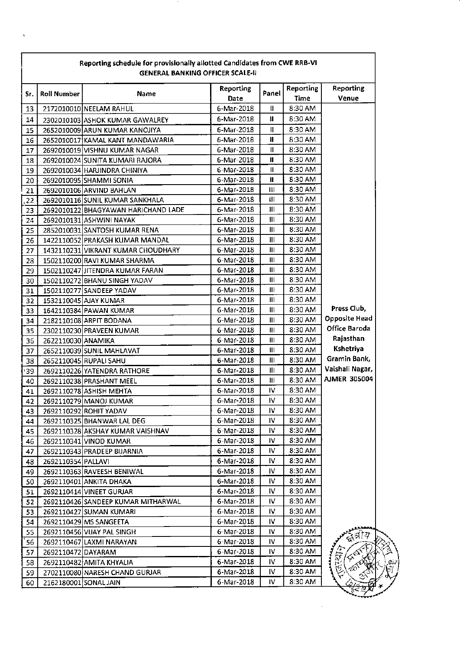|     | mehat mille sendang tau kuatang lain, anaweg panahan<br><b>GENERAL BANKING OFFICER SCALE-II</b> |                                     |                   |       |                          |                           |  |
|-----|-------------------------------------------------------------------------------------------------|-------------------------------------|-------------------|-------|--------------------------|---------------------------|--|
| Sr. | <b>Roll Number</b>                                                                              | <b>Name</b>                         | Reporting<br>Date | Panel | <b>Reporting</b><br>Time | <b>Reporting</b><br>Venue |  |
| 13  |                                                                                                 | 2172010010 NEELAM RAHUL             | 6-Mar-2018        | Ш     | 8:30 AM                  |                           |  |
| 14  |                                                                                                 | 2302010103 ASHOK KUMAR GAWALREY     | 6-Mar-2018        | Ш     | 8:30 AM                  |                           |  |
| 15  |                                                                                                 | 2652010009 ARUN KUMAR KANOJIYA      | 6-Mar-2018        | Ш     | 8:30 AM                  |                           |  |
| 16  |                                                                                                 | 2652010017 KAMAL KANT MANDAWARIA    | 6-Mar-2018        | Ш     | 8:30 AM                  |                           |  |
| 17  |                                                                                                 | 2692010019 VISHNU KUMAR NAGAR       | 6-Mar-2018        | Ш     | 8:30 AM                  |                           |  |
| 18  |                                                                                                 | 2692010024 SUNITA KUMARI RAJORA     | 6-Mar-2018        | Ш     | 8:30 AM                  |                           |  |
| 19  |                                                                                                 | 2692010034 HARJINDRA CHINIYA        | 6-Mar-2018        | Ш     | 8:30 AM                  |                           |  |
| 20  |                                                                                                 | 2692010095 SHAMMI SONIA             | 6-Mar-2018        | Ш     | 8:30 AM                  |                           |  |
| 21  |                                                                                                 | 2692010106 ARVIND BAHLAN            | 6-Mar-2018        | Ш     | 8:30 AM                  |                           |  |
| 22  |                                                                                                 | 2692010116 SUNIL KUMAR SANKHALA     | 6-Mar-2018        | ŧН    | 8:30 AM                  |                           |  |
| 23  |                                                                                                 | 2692010122 BHAGYAWAN HARICHAND LADE | 6-Mar-2018        | ĵШ    | 8:30 AM                  |                           |  |
| 24  |                                                                                                 | 2692010131 ASHWINI NAYAK            | 6-Mar-2018        | Ш     | 8:30 AM                  |                           |  |
| 25  |                                                                                                 | 2852010031 SANTOSH KUMAR RENA       | 6-Mar-2018        | Ш     | 8:30 AM                  |                           |  |
| 26  |                                                                                                 | 1422110052 PRAKASH KUMAR MANDAL     | 6-Mar-2018        | Ш     | 8:30 AM                  |                           |  |
| 27  |                                                                                                 | 1432110231 VIKRANT KUMAR CHOUDHARY  | 6-Mar-2018        | Ш     | 8:30 AM                  |                           |  |
| 28  |                                                                                                 | 1502110200 RAVI KUMAR SHARMA        | 6-Mar-2018        | Ш     | 8:30 AM                  |                           |  |
| 29  |                                                                                                 | 1502110247 JITENDRA KUMAR FARAN     | 6-Mar-2018        | Ш     | 8:30 AM                  |                           |  |
| 30  |                                                                                                 | 1502110272 BHANU SINGH YADAV        | 6-Mar-2018        | Ш     | 8:30 AM                  |                           |  |
| 31  |                                                                                                 | 1502110277 SANDEEP YADAV            | 6-Mar-2018        | Ш     | 8:30 AM                  |                           |  |
| 32  |                                                                                                 | 1532110045 AJAY KUMAR               | 6-Mar-2018        | Ш     | 8:30 AM                  |                           |  |
| 33  |                                                                                                 | 1642110384 PAWAN KUMAR              | 6-Mar-2018        | Ш     | 8:30 AM                  | Press Club,               |  |
| 34  |                                                                                                 | 2182110108 ARPIT BODANA             | 6-Mar-2018        | Ш     | 8:30 AM                  | <b>Opposite Head</b>      |  |
| 35  |                                                                                                 | 2302110230 PRAVEEN KUMAR            | 6-Mar-2018        | Ш     | 8:30 AM                  | Office Baroda             |  |
| 36  | 2622110030 ANAMIKA                                                                              |                                     | 6-Mar-2018        | Ш     | 8:30 AM                  | Rajasthan                 |  |
| 37  |                                                                                                 | 2652110039 SUNIL MAHLAVAT           | 6-Mar-2018        | Ш     | 8:30 AM                  | Kshetriya                 |  |
| 38  |                                                                                                 | 2652110045 RUPALI SAHU              | 6-Mar-2018        | Ш     | 8:30 AM                  | Gramin Bank,              |  |
| 39' |                                                                                                 | 2692110226 YATENDRA RATHORE         | 6-Mar-2018        | Ш     | 8:30 AM                  | Vaishali Nagar,           |  |
| 40  |                                                                                                 | 2692110238 PRASHANT MEEL            | 6-Mar-2018        | Ш     | 8:30 AM                  | <b>AJMER 305004</b>       |  |
| 41  |                                                                                                 | 2692110278 ASHISH MEHTA             | 6-Mar-2018        | IV.   | 8:30 AM                  |                           |  |
| 42  |                                                                                                 | 2692110279 MANOJ KUMAR              | 6-Mar-2018        | IV    | 8:30 AM                  |                           |  |
| 43  |                                                                                                 | 2692110292 ROHIT YADAV              | 6-Mar-2018        | IV    | 8:30 AM                  |                           |  |
| 44  |                                                                                                 | 2692110325 BHANWAR LAL DEG          | 6-Mar-2018        | IV.   | 8:30 AM                  |                           |  |
| 45  |                                                                                                 | 2692110328 AKSHAY KUMAR VAISHNAV    | 6-Mar-2018        | IV.   | 8:30 AM                  |                           |  |
| 46  |                                                                                                 | 2692110341 VINOD KUMAR              | 6-Mar-2018        | IV    | 8:30 AM                  |                           |  |
| 47  |                                                                                                 | 2692110343 PRADEEP BIJARNIA         | 6-Mar-2018        | IV.   | 8:30 AM                  |                           |  |
| 48  | 2692110354 PALLAVI                                                                              |                                     | 6-Mar-2018        | IV.   | 8:30 AM                  |                           |  |
| 49  |                                                                                                 | 2692110363 RAVEESH BENIWAL          | 6-Mar-2018        | IV.   | 8:30 AM                  |                           |  |
| 50  |                                                                                                 | 2692110401 ANKITA DHAKA             | 6-Mar-2018        | IV.   | 8:30 AM                  |                           |  |
| 51  |                                                                                                 | 2692110414 VINEET GURJAR            | 6-Mar-2018        | IV.   | 8:30 AM                  |                           |  |
| 52  |                                                                                                 | 2692110426 SANDEEP KUMAR MITHARWAL  | 6-Mar-2018        | IV.   | 8:30 AM                  |                           |  |
| 53  |                                                                                                 | 2692110427 SUMAN KUMARI             | 6-Mar-2018        | IV.   | 8:30 AM                  |                           |  |
| 54  |                                                                                                 | 2692110429 MS SANGEETA              | 6-Mar-2018        | IV.   | 8:30 AM                  |                           |  |
| 55  |                                                                                                 | 2692110456 VIJAY PAL SINGH          | 6-Mar-2018        | IV.   | 8:30 AM                  |                           |  |
| 56  |                                                                                                 | 2692110467 LAXMI NARAYAN            | 6-Mar-2018        | IV.   | 8:30 AM                  | ন্নৱীয়                   |  |
| 57  | 2692110472 DAYARAM                                                                              |                                     | 6-Mar-2018        | IV.   | 8:30 AM                  | p                         |  |
| 58  |                                                                                                 | 2692110482 AMITA KHYALIA            | 6-Mar-2018        | IV.   | 8:30 AM                  | 貶                         |  |
| 59  |                                                                                                 | 2702110080 NARESH CHAND GURJAR      | 6-Mar-2018        | IV.   | 8:30 AM                  |                           |  |
| 60  | 2162180001 SONAL JAIN                                                                           |                                     | 6-Mar-2018        | IV.   | 8:30 AM                  |                           |  |
|     |                                                                                                 |                                     |                   |       |                          |                           |  |

## Reporting schedule for provisionally allotted Candidates from CWE RRB-vl

I

 $\overline{\mathscr{C}}$